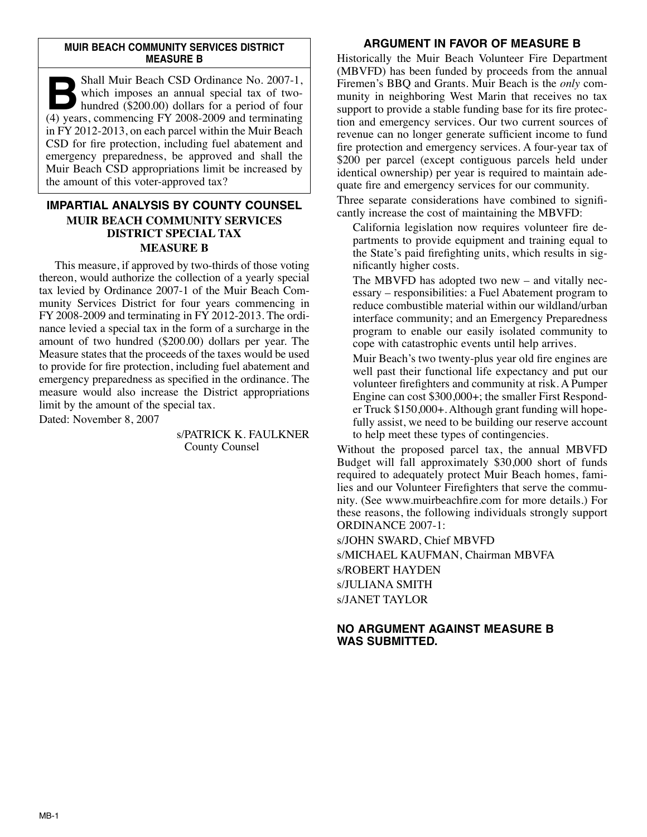#### **MUIR BEACH COMMUNITY SERVICES DISTRICT MEASURE B**

**Bold Muir Beach CSD Ordinance No. 2007-1,**<br>which imposes an annual special tax of two-<br>hundred (\$200.00) dollars for a period of four which imposes an annual special tax of twohundred  $(\$200.00)$  dollars for a period of four (4) years, commencing FY 2008-2009 and terminating in FY 2012-2013, on each parcel within the Muir Beach CSD for fire protection, including fuel abatement and emergency preparedness, be approved and shall the Muir Beach CSD appropriations limit be increased by the amount of this voter-approved tax?

# **IMPARTIAL ANALYSIS BY COUNTY COUNSEL MUIR BEACH COMMUNITY SERVICES DISTRICT SPECIAL TAX MEASURE B**

This measure, if approved by two-thirds of those voting thereon, would authorize the collection of a yearly special tax levied by Ordinance 2007-1 of the Muir Beach Community Services District for four years commencing in FY 2008-2009 and terminating in FY 2012-2013. The ordinance levied a special tax in the form of a surcharge in the amount of two hundred (\$200.00) dollars per year. The Measure states that the proceeds of the taxes would be used to provide for fire protection, including fuel abatement and emergency preparedness as specified in the ordinance. The measure would also increase the District appropriations limit by the amount of the special tax.

Dated: November 8, 2007

s/PATRICK K. FAULKNER County Counsel

# **ARGUMENT IN FAVOR OF MEASURE B**

Historically the Muir Beach Volunteer Fire Department (MBVFD) has been funded by proceeds from the annual Firemen's BBQ and Grants. Muir Beach is the *only* community in neighboring West Marin that receives no tax support to provide a stable funding base for its fire protection and emergency services. Our two current sources of revenue can no longer generate sufficient income to fund fire protection and emergency services. A four-year tax of \$200 per parcel (except contiguous parcels held under identical ownership) per year is required to maintain adequate fire and emergency services for our community.

Three separate considerations have combined to significantly increase the cost of maintaining the MBVFD:

California legislation now requires volunteer fire departments to provide equipment and training equal to the State's paid firefighting units, which results in significantly higher costs.

The MBVFD has adopted two new – and vitally necessary – responsibilities: a Fuel Abatement program to reduce combustible material within our wildland/urban interface community; and an Emergency Preparedness program to enable our easily isolated community to cope with catastrophic events until help arrives.

Muir Beach's two twenty-plus year old fire engines are well past their functional life expectancy and put our volunteer firefighters and community at risk. A Pumper Engine can cost \$300,000+; the smaller First Responder Truck \$150,000+. Although grant funding will hopefully assist, we need to be building our reserve account to help meet these types of contingencies.

Without the proposed parcel tax, the annual MBVFD Budget will fall approximately \$30,000 short of funds required to adequately protect Muir Beach homes, families and our Volunteer Firefighters that serve the community. (See www.muirbeachfire.com for more details.) For these reasons, the following individuals strongly support ORDINANCE 2007-1:

s/JOHN SWARD, Chief MBVFD s/MICHAEL KAUFMAN, Chairman MBVFA s/ROBERT HAYDEN s/JULIANA SMITH s/JANET TAYLOR

## **NO ARGUMENT AGAINST MEASURE B WAS SUBMITTED.**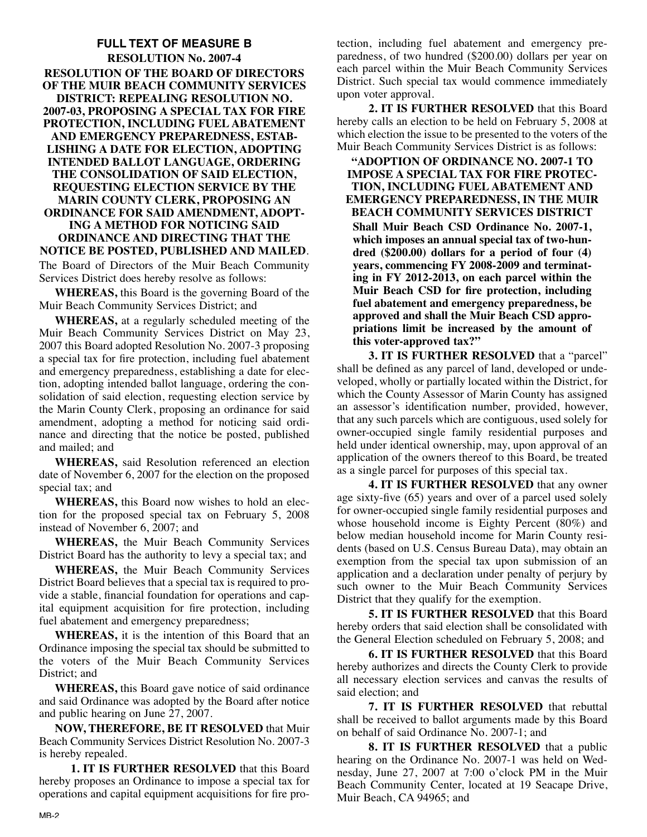## **FULL TEXT OF MEASURE B RESOLUTION No. 2007-4 RESOLUTION OF THE BOARD OF DIRECTORS OF THE MUIR BEACH COMMUNITY SERVICES DISTRICT: REPEALING RESOLUTION NO. 2007-03, PROPOSING A SPECIAL TAX FOR FIRE PROTECTION, INCLUDING FUEL ABATEMENT AND EMERGENCY PREPAREDNESS, ESTAB-LISHING A DATE FOR ELECTION, ADOPTING INTENDED BALLOT LANGUAGE, ORDERING THE CONSOLIDATION OF SAID ELECTION, REQUESTING ELECTION SERVICE BY THE MARIN COUNTY CLERK, PROPOSING AN ORDINANCE FOR SAID AMENDMENT, ADOPT-ING A METHOD FOR NOTICING SAID ORDINANCE AND DIRECTING THAT THE NOTICE BE POSTED, PUBLISHED AND MAILED**.

The Board of Directors of the Muir Beach Community Services District does hereby resolve as follows:

**WHEREAS,** this Board is the governing Board of the Muir Beach Community Services District; and

**WHEREAS,** at a regularly scheduled meeting of the Muir Beach Community Services District on May 23, 2007 this Board adopted Resolution No. 2007-3 proposing a special tax for fire protection, including fuel abatement and emergency preparedness, establishing a date for election, adopting intended ballot language, ordering the consolidation of said election, requesting election service by the Marin County Clerk, proposing an ordinance for said amendment, adopting a method for noticing said ordinance and directing that the notice be posted, published and mailed; and

**WHEREAS,** said Resolution referenced an election date of November 6, 2007 for the election on the proposed special tax; and

**WHEREAS,** this Board now wishes to hold an election for the proposed special tax on February 5, 2008 instead of November 6, 2007; and

**WHEREAS,** the Muir Beach Community Services District Board has the authority to levy a special tax; and

**WHEREAS,** the Muir Beach Community Services District Board believes that a special tax is required to provide a stable, financial foundation for operations and capital equipment acquisition for fire protection, including fuel abatement and emergency preparedness;

**WHEREAS,** it is the intention of this Board that an Ordinance imposing the special tax should be submitted to the voters of the Muir Beach Community Services District; and

**WHEREAS,** this Board gave notice of said ordinance and said Ordinance was adopted by the Board after notice and public hearing on June 27, 2007.

**NOW, THEREFORE, BE IT RESOLVED** that Muir Beach Community Services District Resolution No. 2007-3 is hereby repealed.

**1. IT IS FURTHER RESOLVED** that this Board hereby proposes an Ordinance to impose a special tax for operations and capital equipment acquisitions for fire protection, including fuel abatement and emergency preparedness, of two hundred (\$200.00) dollars per year on each parcel within the Muir Beach Community Services District. Such special tax would commence immediately upon voter approval.

**2. IT IS FURTHER RESOLVED** that this Board hereby calls an election to be held on February 5, 2008 at which election the issue to be presented to the voters of the Muir Beach Community Services District is as follows:

**"ADOPTION OF ORDINANCE NO. 2007-1 TO IMPOSE A SPECIAL TAX FOR FIRE PROTEC-TION, INCLUDING FUEL ABATEMENT AND EMERGENCY PREPAREDNESS, IN THE MUIR BEACH COMMUNITY SERVICES DISTRICT Shall Muir Beach CSD Ordinance No. 2007-1, which imposes an annual special tax of two-hundred (\$200.00) dollars for a period of four (4) years, commencing FY 2008-2009 and terminating in FY 2012-2013, on each parcel within the Muir Beach CSD for fire protection, including fuel abatement and emergency preparedness, be approved and shall the Muir Beach CSD appropriations limit be increased by the amount of this voter-approved tax?"**

**3. IT IS FURTHER RESOLVED** that a "parcel" shall be defined as any parcel of land, developed or undeveloped, wholly or partially located within the District, for which the County Assessor of Marin County has assigned an assessor's identification number, provided, however, that any such parcels which are contiguous, used solely for owner-occupied single family residential purposes and held under identical ownership, may, upon approval of an application of the owners thereof to this Board, be treated as a single parcel for purposes of this special tax.

**4. IT IS FURTHER RESOLVED** that any owner age sixty-five (65) years and over of a parcel used solely for owner-occupied single family residential purposes and whose household income is Eighty Percent (80%) and below median household income for Marin County residents (based on U.S. Census Bureau Data), may obtain an exemption from the special tax upon submission of an application and a declaration under penalty of perjury by such owner to the Muir Beach Community Services District that they qualify for the exemption.

**5. IT IS FURTHER RESOLVED** that this Board hereby orders that said election shall be consolidated with the General Election scheduled on February 5, 2008; and

**6. IT IS FURTHER RESOLVED** that this Board hereby authorizes and directs the County Clerk to provide all necessary election services and canvas the results of said election; and

**7. IT IS FURTHER RESOLVED** that rebuttal shall be received to ballot arguments made by this Board on behalf of said Ordinance No. 2007-1; and

**8. IT IS FURTHER RESOLVED** that a public hearing on the Ordinance No. 2007-1 was held on Wednesday, June 27, 2007 at 7:00 o'clock PM in the Muir Beach Community Center, located at 19 Seacape Drive, Muir Beach, CA 94965; and